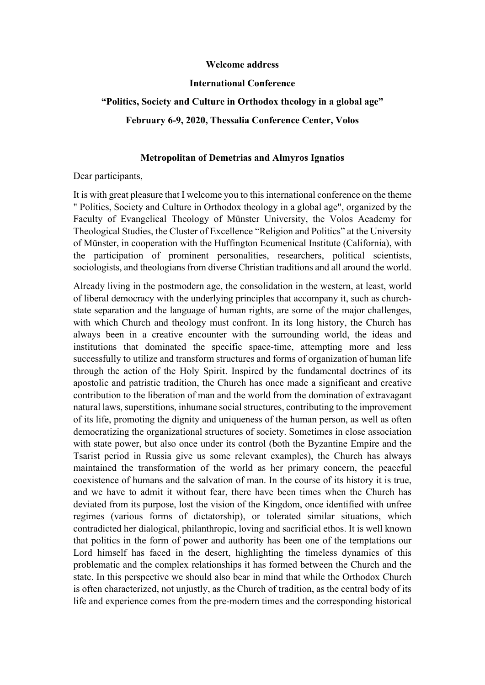## **Welcome address**

## **International Conference**

## **"Politics, Society and Culture in Orthodox theology in a global age"**

**February 6-9, 2020, Thessalia Conference Center, Volos** 

## **Metropolitan of Demetrias and Almyros Ignatios**

Dear participants,

It is with great pleasure that I welcome you to this international conference on the theme " Politics, Society and Culture in Orthodox theology in a global age", organized by the Faculty of Evangelical Theology of Münster University, the Volos Academy for Theological Studies, the Cluster of Excellence "Religion and Politics" at the University of Münster, in cooperation with the Huffington Ecumenical Institute (California), with the participation of prominent personalities, researchers, political scientists, sociologists, and theologians from diverse Christian traditions and all around the world.

Already living in the postmodern age, the consolidation in the western, at least, world of liberal democracy with the underlying principles that accompany it, such as churchstate separation and the language of human rights, are some of the major challenges, with which Church and theology must confront. In its long history, the Church has always been in a creative encounter with the surrounding world, the ideas and institutions that dominated the specific space-time, attempting more and less successfully to utilize and transform structures and forms of organization of human life through the action of the Holy Spirit. Inspired by the fundamental doctrines of its apostolic and patristic tradition, the Church has once made a significant and creative contribution to the liberation of man and the world from the domination of extravagant natural laws, superstitions, inhumane social structures, contributing to the improvement of its life, promoting the dignity and uniqueness of the human person, as well as often democratizing the organizational structures of society. Sometimes in close association with state power, but also once under its control (both the Byzantine Empire and the Tsarist period in Russia give us some relevant examples), the Church has always maintained the transformation of the world as her primary concern, the peaceful coexistence of humans and the salvation of man. In the course of its history it is true, and we have to admit it without fear, there have been times when the Church has deviated from its purpose, lost the vision of the Kingdom, once identified with unfree regimes (various forms of dictatorship), or tolerated similar situations, which contradicted her dialogical, philanthropic, loving and sacrificial ethos. It is well known that politics in the form of power and authority has been one of the temptations our Lord himself has faced in the desert, highlighting the timeless dynamics of this problematic and the complex relationships it has formed between the Church and the state. In this perspective we should also bear in mind that while the Orthodox Church is often characterized, not unjustly, as the Church of tradition, as the central body of its life and experience comes from the pre-modern times and the corresponding historical